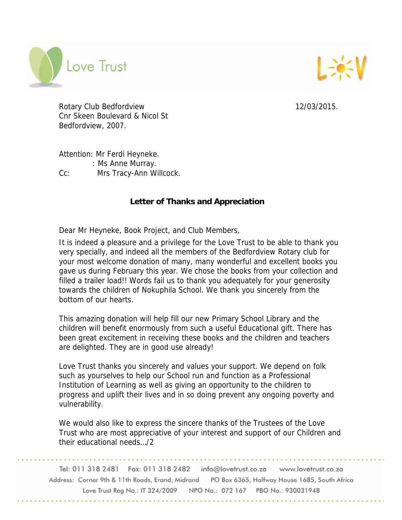



Rotary Club Bedfordview 12/03/2015. Cnr Skeen Boulevard & Nicol St Bedfordview, 2007.

Attention: Mr Ferdi Heyneke. : Ms Anne Murray. Cc: Mrs Tracy-Ann Willcock.

## **Letter of Thanks and Appreciation**

Dear Mr Heyneke, Book Project, and Club Members,

It is indeed a pleasure and a privilege for the Love Trust to be able to thank you very specially, and indeed all the members of the Bedfordview Rotary club for your most welcome donation of many, many wonderful and excellent books you gave us during February this year. We chose the books from your collection and filled a trailer load!! Words fail us to thank you adequately for your generosity towards the children of Nokuphila School. We thank you sincerely from the bottom of our hearts.

This amazing donation will help fill our new Primary School Library and the children will benefit enormously from such a useful Educational gift. There has been great excitement in receiving these books and the children and teachers are delighted. They are in good use already!

Love Trust thanks you sincerely and values your support. We depend on folk such as yourselves to help our School run and function as a Professional Institution of Learning as well as giving an opportunity to the children to progress and uplift their lives and in so doing prevent any ongoing poverty and vulnerability.

We would also like to express the sincere thanks of the Trustees of the Love Trust who are most appreciative of your interest and support of our Children and their educational needs…/2

Tel: 011 318 2481 Fax: 011 318 2482 info@lovetrust.co.za www.lovetrust.co.za Address: Corner 9th & 11th Roads, Erand, Midrand PO Box 6365, Halfway House 1685, South Africa Love Trust Reg No.: IT 324/2009 NPO No.: 072 167 PBO No.: 930031948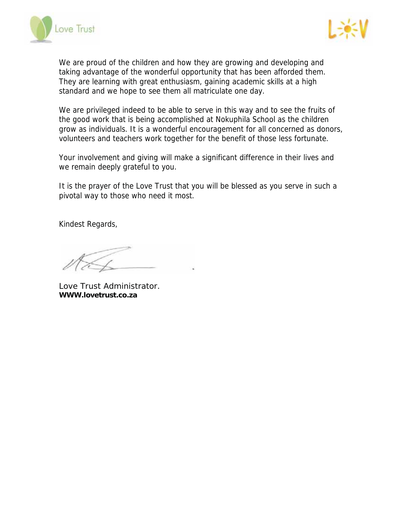



We are proud of the children and how they are growing and developing and taking advantage of the wonderful opportunity that has been afforded them. They are learning with great enthusiasm, gaining academic skills at a high standard and we hope to see them all matriculate one day.

We are privileged indeed to be able to serve in this way and to see the fruits of the good work that is being accomplished at Nokuphila School as the children grow as individuals. It is a wonderful encouragement for all concerned as donors, volunteers and teachers work together for the benefit of those less fortunate.

Your involvement and giving will make a significant difference in their lives and we remain deeply grateful to you.

It is the prayer of the Love Trust that you will be blessed as you serve in such a pivotal way to those who need it most.

Kindest Regards,

Love Trust Administrator. **WWW.lovetrust.co.za**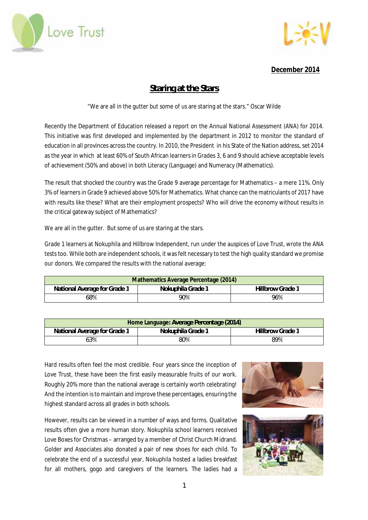



**December 2014** 

# **Staring at the Stars**

"We are all in the gutter but some of us are staring at the stars." Oscar Wilde

Recently the Department of Education released a report on the Annual National Assessment (ANA) for 2014. This initiative was first developed and implemented by the department in 2012 to monitor the standard of education in all provinces across the country. In 2010, the President in his State of the Nation address, set 2014 as the year in which at least 60% of South African learners in Grades 3, 6 and 9 should achieve acceptable levels of achievement (50% and above) in both Literacy (Language) and Numeracy (Mathematics).

The result that shocked the country was the Grade 9 average percentage for Mathematics – a mere 11%. Only 3% of learners in Grade 9 achieved above 50% for Mathematics. What chance can the matriculants of 2017 have with results like these? What are their employment prospects? Who will drive the economy without results in the critical gateway subject of Mathematics?

We are all in the gutter. But some of us are staring at the stars.

Grade 1 learners at Nokuphila and Hillbrow Independent, run under the auspices of Love Trust, wrote the ANA tests too. While both are independent schools, it was felt necessary to test the high quality standard we promise our donors. We compared the results with the national average:

| Mathematics Average Percentage (2014) |                   |                         |  |
|---------------------------------------|-------------------|-------------------------|--|
| National Average for Grade 1          | Nokuphila Grade 1 | <b>Hillbrow Grade 1</b> |  |
| 68%                                   | 90%               | 96%                     |  |

| Home Language: Average Percentage (2014) |                   |                         |  |
|------------------------------------------|-------------------|-------------------------|--|
| National Average for Grade 1             | Nokuphila Grade 1 | <b>Hillbrow Grade 1</b> |  |
| 63%                                      | 80%               | 89%                     |  |

Hard results often feel the most credible. Four years since the inception of Love Trust, these have been the first easily measurable fruits of our work. Roughly 20% more than the national average is certainly worth celebrating! And the intention is to maintain and improve these percentages, ensuring the highest standard across all grades in both schools.

However, results can be viewed in a number of ways and forms. Qualitative results often give a more human story. Nokuphila school learners received Love Boxes for Christmas – arranged by a member of Christ Church Midrand. Golder and Associates also donated a pair of new shoes for each child. To celebrate the end of a successful year, Nokuphila hosted a ladies breakfast for all mothers, gogo and caregivers of the learners. The ladies had a



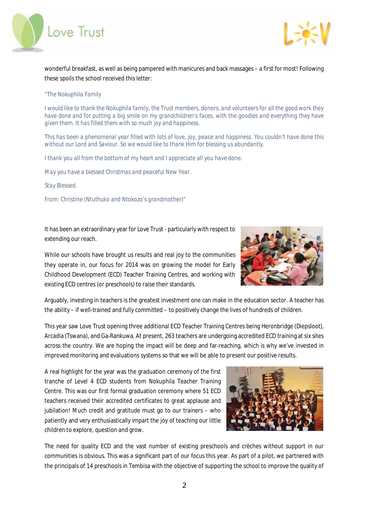



wonderful breakfast, as well as being pampered with manicures and back massages – a first for most! Following these spoils the school received this letter:

## *"The Nokuphila Family*

*I would like to thank the Nokuphila family, the Trust members, donors, and volunteers for all the good work they have done and for putting a big smile on my grandchildren's faces, with the goodies and everything they have given them. It has filled them with so much joy and happiness.* 

*This has been a phenomenal year filled with lots of love, joy, peace and happiness. You couldn't have done this without our Lord and Saviour. So we would like to thank Him for blessing us abundantly.* 

*I thank you all from the bottom of my heart and I appreciate all you have done.* 

*May you have a blessed Christmas and peaceful New Year.* 

*Stay Blessed.* 

*From: Christine (Ntuthuko and Ntokozo's grandmother)"* 

It has been an extraordinary year for Love Trust - particularly with respect to extending our reach.



While our schools have brought us results and real joy to the communities they operate in, our focus for 2014 was on growing the model for Early Childhood Development (ECD) Teacher Training Centres, and working with existing ECD centres (or preschools) to raise their standards.

Arguably, investing in teachers is the greatest investment one can make in the education sector. A teacher has the ability – if well-trained and fully committed – to positively change the lives of hundreds of children.

This year saw Love Trust opening three additional ECD Teacher Training Centres being Heronbridge (Diepsloot), Arcadia (Tswana), and Ga-Rankuwa. At present, 263 teachers are undergoing accredited ECD training at six sites across the country. We are hoping the impact will be deep and far-reaching, which is why we've invested in improved monitoring and evaluations systems so that we will be able to present our positive results.

A real highlight for the year was the graduation ceremony of the first tranche of Level 4 ECD students from Nokuphila Teacher Training Centre. This was our first formal graduation ceremony where 51 ECD teachers received their accredited certificates to great applause and jubilation! Much credit and gratitude must go to our trainers – who patiently and very enthusiastically impart the joy of teaching our little children to explore, question and grow.

The need for quality ECD and the vast number of existing preschools and crèches without support in our communities is obvious. This was a significant part of our focus this year. As part of a pilot, we partnered with the principals of 14 preschools in Tembisa with the objective of supporting the school to improve the quality of

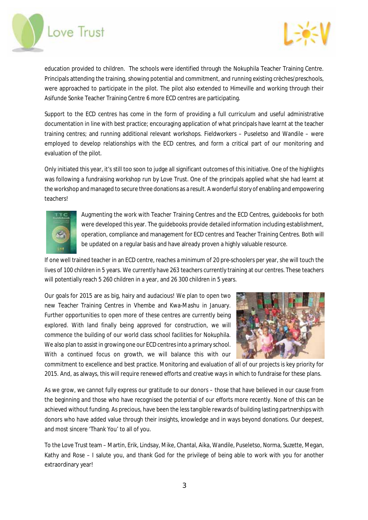



education provided to children. The schools were identified through the Nokuphila Teacher Training Centre. Principals attending the training, showing potential and commitment, and running existing crèches/preschools, were approached to participate in the pilot. The pilot also extended to Himeville and working through their Asifunde Sonke Teacher Training Centre 6 more ECD centres are participating.

Support to the ECD centres has come in the form of providing a full curriculum and useful administrative documentation in line with best practice; encouraging application of what principals have learnt at the teacher training centres; and running additional relevant workshops. Fieldworkers – Puseletso and Wandile – were employed to develop relationships with the ECD centres, and form a critical part of our monitoring and evaluation of the pilot.

Only initiated this year, it's still too soon to judge all significant outcomes of this initiative. One of the highlights was following a fundraising workshop run by Love Trust. One of the principals applied what she had learnt at the workshop and managed to secure three donations as a result. A wonderful story of enabling and empowering teachers!



Augmenting the work with Teacher Training Centres and the ECD Centres, guidebooks for both were developed this year. The guidebooks provide detailed information including establishment, operation, compliance and management for ECD centres and Teacher Training Centres. Both will be updated on a regular basis and have already proven a highly valuable resource.

If one well trained teacher in an ECD centre, reaches a minimum of 20 pre-schoolers per year, she will touch the lives of 100 children in 5 years. We currently have 263 teachers currently training at our centres. These teachers will potentially reach 5 260 children in a year, and 26 300 children in 5 years.

Our goals for 2015 are as big, hairy and audacious! We plan to open two new Teacher Training Centres in Vhembe and Kwa-Mashu in January. Further opportunities to open more of these centres are currently being explored. With land finally being approved for construction, we will commence the building of our world class school facilities for Nokuphila. We also plan to assist in growing one our ECD centres into a primary school. With a continued focus on growth, we will balance this with our



commitment to excellence and best practice. Monitoring and evaluation of all of our projects is key priority for 2015. And, as always, this will require renewed efforts and creative ways in which to fundraise for these plans.

As we grow, we cannot fully express our gratitude to our donors – those that have believed in our cause from the beginning and those who have recognised the potential of our efforts more recently. None of this can be achieved without funding. As precious, have been the less tangible rewards of building lasting partnerships with donors who have added value through their insights, knowledge and in ways beyond donations. Our deepest, and most sincere 'Thank You' to all of you.

To the Love Trust team – Martin, Erik, Lindsay, Mike, Chantal, Aika, Wandile, Puseletso, Norma, Suzette, Megan, Kathy and Rose – I salute you, and thank God for the privilege of being able to work with you for another extraordinary year!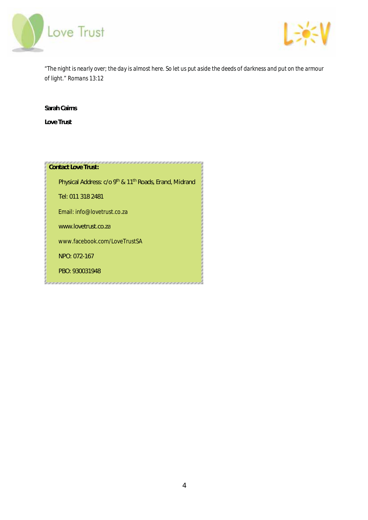



*"The night is nearly over; the day is almost here. So let us put aside the deeds of darkness and put on the armour of light." Romans 13:12* 

**Sarah Cairns** 

**Love Trust** 

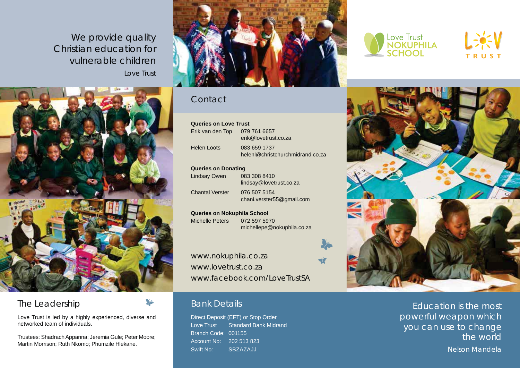We provide quality Christian education for vulnerable children Love Trust



# The Leadership

Love Trust is led by a highly experienced, diverse and networked team of individuals.

Trustees: Shadrach Appanna; Jeremia Gule; Peter Moore; Martin Morrison; Ruth Nkomo; Phumzile Hlekane.



# **Contact**

| <b>Queries on Love Trust</b> |                                                  |  |  |
|------------------------------|--------------------------------------------------|--|--|
| Erik van den Top             | 079 761 6657<br>erik@lovetrust.co.za             |  |  |
| Helen Loots                  | 083 659 1737<br>helenl@christchurchmidrand.co.za |  |  |

### **Queries on Donating**

Lindsay Owen 083 308 8410 lindsay@lovetrust.co.za Chantal Verster 076 507 5154 chani.verster55@gmail.com

**Queries on Nokuphila School** Michelle Peters 072 597 5970 michellepe@nokuphila.co.za

www.nokuphila.co.za www.lovetrust.co.za www.facebook.com/LoveTrustSA

# Bank Details

Direct Deposit (EFT) or Stop Order Love Trust Standard Bank Midrand Branch Code: 001155 Account No: 202 513 823 Swift No: SBZAZAJJ







Education is the most powerful weapon which you can use to change the world

Nelson Mandela